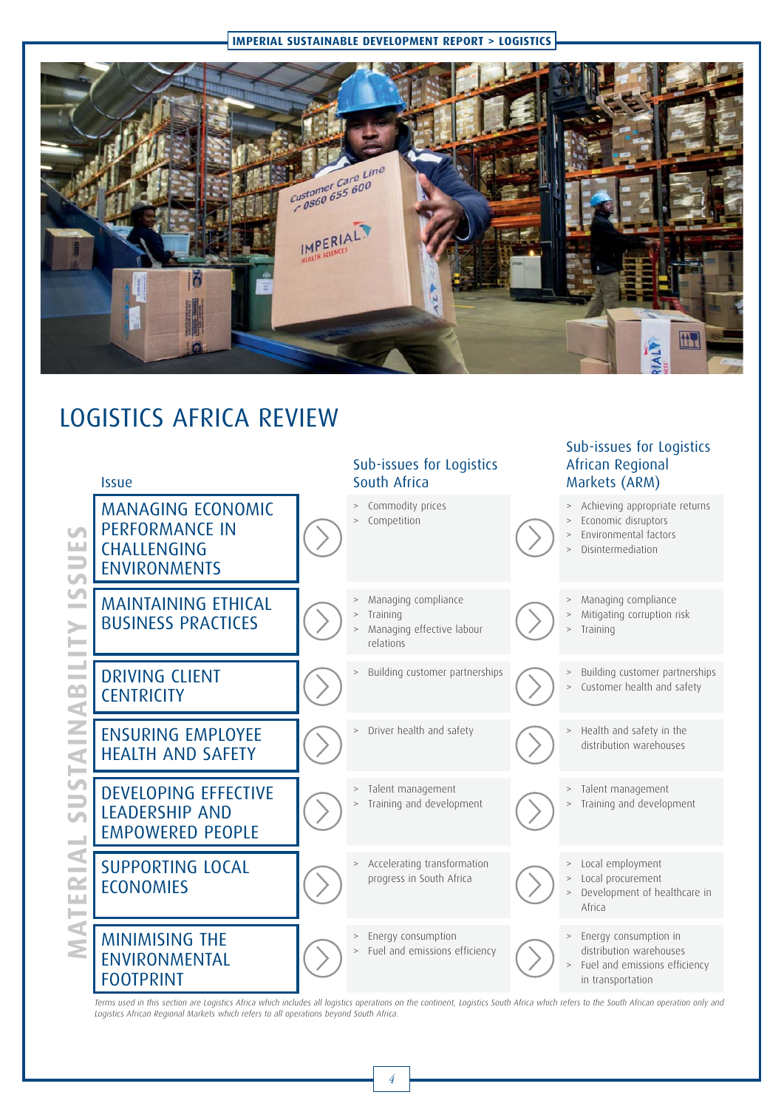#### **IMPERIAL SUSTAINABLE DEVELOPMENT REPORT > LOGISTICS**



Sub-issues for Logistics

# LOGISTICS AFRICA REVIEW



Terms used in this section are Logistics Africa which includes all logistics operations on the continent, Logistics South Africa which refers to the South African operation only and Logistics African Regional Markets which refers to all operations beyond South Africa.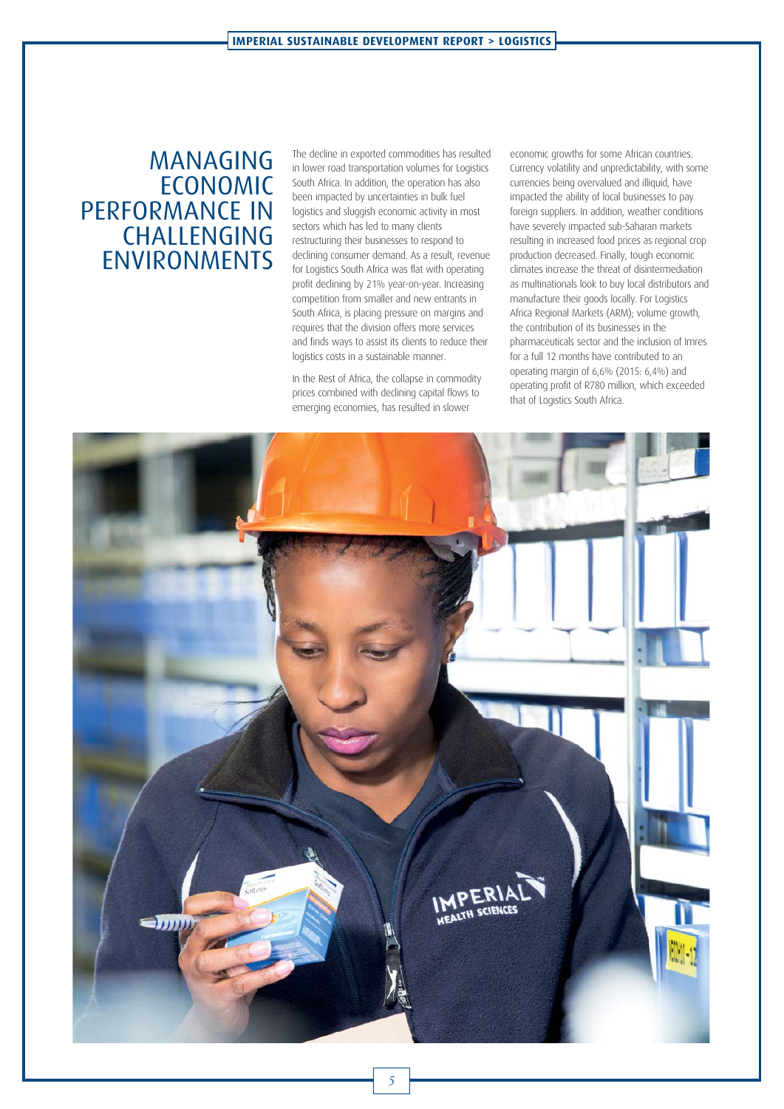## MANAGING ECONOMIC PERFORMANCE IN CHALLENGING ENVIRONMENTS

The decline in exported commodities has resulted in lower road transportation volumes for Logistics South Africa. In addition, the operation has also been impacted by uncertainties in bulk fuel logistics and sluggish economic activity in most sectors which has led to many clients restructuring their businesses to respond to declining consumer demand. As a result, revenue for Logistics South Africa was flat with operating profit declining by 21% year-on-year. Increasing competition from smaller and new entrants in South Africa, is placing pressure on margins and requires that the division offers more services and finds ways to assist its clients to reduce their logistics costs in a sustainable manner.

In the Rest of Africa, the collapse in commodity prices combined with declining capital flows to emerging economies, has resulted in slower

economic growths for some African countries. Currency volatility and unpredictability, with some currencies being overvalued and illiquid, have impacted the ability of local businesses to pay foreign suppliers. In addition, weather conditions have severely impacted sub-Saharan markets resulting in increased food prices as regional crop production decreased. Finally, tough economic climates increase the threat of disintermediation as multinationals look to buy local distributors and manufacture their goods locally. For Logistics Africa Regional Markets (ARM); volume growth, the contribution of its businesses in the pharmaceuticals sector and the inclusion of Imres for a full 12 months have contributed to an operating margin of 6,6% (2015: 6,4%) and operating profit of R780 million, which exceeded that of Logistics South Africa.

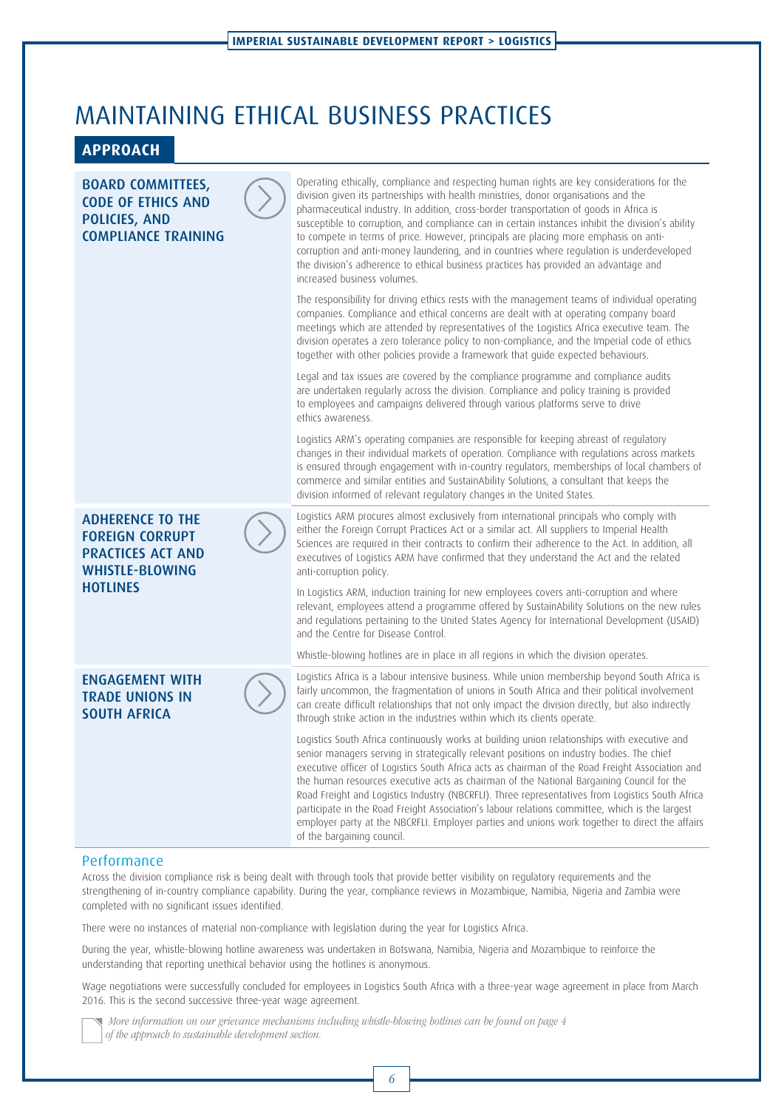# MAINTAINING ETHICAL BUSINESS PRACTICES

#### **APPROACH**

| <b>BOARD COMMITTEES,</b><br><b>CODE OF ETHICS AND</b><br>POLICIES, AND<br><b>COMPLIANCE TRAINING</b>    | Operating ethically, compliance and respecting human rights are key considerations for the<br>division given its partnerships with health ministries, donor organisations and the<br>pharmaceutical industry. In addition, cross-border transportation of goods in Africa is<br>susceptible to corruption, and compliance can in certain instances inhibit the division's ability<br>to compete in terms of price. However, principals are placing more emphasis on anti-<br>corruption and anti-money laundering, and in countries where regulation is underdeveloped<br>the division's adherence to ethical business practices has provided an advantage and<br>increased business volumes.                                    |
|---------------------------------------------------------------------------------------------------------|----------------------------------------------------------------------------------------------------------------------------------------------------------------------------------------------------------------------------------------------------------------------------------------------------------------------------------------------------------------------------------------------------------------------------------------------------------------------------------------------------------------------------------------------------------------------------------------------------------------------------------------------------------------------------------------------------------------------------------|
|                                                                                                         | The responsibility for driving ethics rests with the management teams of individual operating<br>companies. Compliance and ethical concerns are dealt with at operating company board<br>meetings which are attended by representatives of the Logistics Africa executive team. The<br>division operates a zero tolerance policy to non-compliance, and the Imperial code of ethics<br>together with other policies provide a framework that guide expected behaviours.                                                                                                                                                                                                                                                          |
|                                                                                                         | Legal and tax issues are covered by the compliance programme and compliance audits<br>are undertaken regularly across the division. Compliance and policy training is provided<br>to employees and campaigns delivered through various platforms serve to drive<br>ethics awareness.                                                                                                                                                                                                                                                                                                                                                                                                                                             |
|                                                                                                         | Logistics ARM's operating companies are responsible for keeping abreast of regulatory<br>changes in their individual markets of operation. Compliance with regulations across markets<br>is ensured through engagement with in-country regulators, memberships of local chambers of<br>commerce and similar entities and SustainAbility Solutions, a consultant that keeps the<br>division informed of relevant regulatory changes in the United States.                                                                                                                                                                                                                                                                         |
| <b>ADHERENCE TO THE</b><br><b>FOREIGN CORRUPT</b><br><b>PRACTICES ACT AND</b><br><b>WHISTLE-BLOWING</b> | Logistics ARM procures almost exclusively from international principals who comply with<br>either the Foreign Corrupt Practices Act or a similar act. All suppliers to Imperial Health<br>Sciences are required in their contracts to confirm their adherence to the Act. In addition, all<br>executives of Logistics ARM have confirmed that they understand the Act and the related<br>anti-corruption policy.                                                                                                                                                                                                                                                                                                                 |
| <b>HOTLINES</b>                                                                                         | In Logistics ARM, induction training for new employees covers anti-corruption and where<br>relevant, employees attend a programme offered by SustainAbility Solutions on the new rules<br>and regulations pertaining to the United States Agency for International Development (USAID)<br>and the Centre for Disease Control.                                                                                                                                                                                                                                                                                                                                                                                                    |
|                                                                                                         | Whistle-blowing hotlines are in place in all regions in which the division operates.                                                                                                                                                                                                                                                                                                                                                                                                                                                                                                                                                                                                                                             |
| <b>ENGAGEMENT WITH</b><br><b>TRADE UNIONS IN</b><br><b>SOUTH AFRICA</b>                                 | Logistics Africa is a labour intensive business. While union membership beyond South Africa is<br>fairly uncommon, the fragmentation of unions in South Africa and their political involvement<br>can create difficult relationships that not only impact the division directly, but also indirectly<br>through strike action in the industries within which its clients operate.                                                                                                                                                                                                                                                                                                                                                |
|                                                                                                         | Logistics South Africa continuously works at building union relationships with executive and<br>senior managers serving in strategically relevant positions on industry bodies. The chief<br>executive officer of Logistics South Africa acts as chairman of the Road Freight Association and<br>the human resources executive acts as chairman of the National Bargaining Council for the<br>Road Freight and Logistics Industry (NBCRFLI). Three representatives from Logistics South Africa<br>participate in the Road Freight Association's labour relations committee, which is the largest<br>employer party at the NBCRFLI. Employer parties and unions work together to direct the affairs<br>of the bargaining council. |

#### Performance

Across the division compliance risk is being dealt with through tools that provide better visibility on regulatory requirements and the strengthening of in-country compliance capability. During the year, compliance reviews in Mozambique, Namibia, Nigeria and Zambia were completed with no significant issues identified.

There were no instances of material non-compliance with legislation during the year for Logistics Africa.

During the year, whistle-blowing hotline awareness was undertaken in Botswana, Namibia, Nigeria and Mozambique to reinforce the understanding that reporting unethical behavior using the hotlines is anonymous.

Wage negotiations were successfully concluded for employees in Logistics South Africa with a three-year wage agreement in place from March 2016. This is the second successive three-year wage agreement.

 More information on our grievance mechanisms including whistle-blowing hotlines can be found on page 4 of the approach to sustainable development section.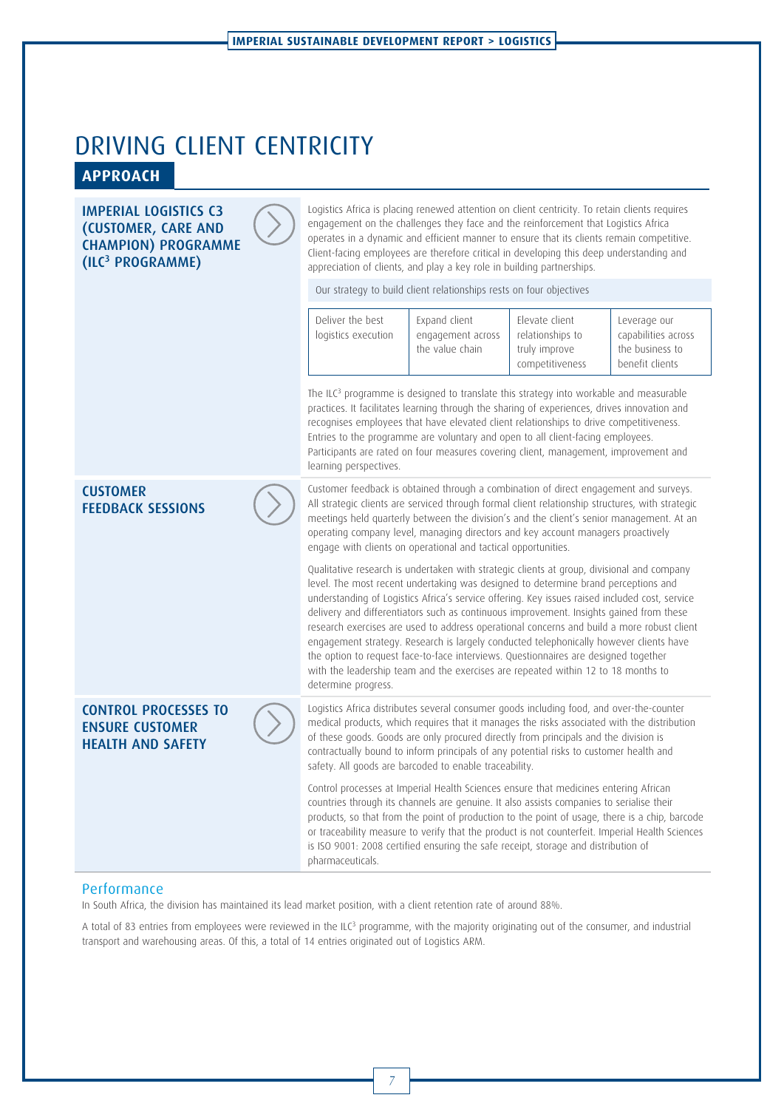# DRIVING CLIENT CENTRICITY **APPROACH**

#### **IMPERIAL LOGISTICS C3** (CUSTOMER, CARE AND **CHAMPION) PROGRAMME**  $(11C<sup>3</sup> PROGRAMME)$ (ILC3 PROGRAMME)

Logistics Africa is placing renewed attention on client centricity. To retain clients requires engagement on the challenges they face and the reinforcement that Logistics Africa operates in a dynamic and efficient manner to ensure that its clients remain competitive. Client-facing employees are therefore critical in developing this deep understanding and appreciation of clients, and play a key role in building partnerships.

Our strategy to build client relationships rests on four objectives

|                                             | Deliver the best<br>logistics execution                                                                                                                                                                                                                                                                                                                                                                                                                                                           | Expand client<br>engagement across<br>the value chain                                                                                                                                                                                                                                                                                                                                                                                                                                                                                                                                                                                                        | Elevate client<br>relationships to<br>truly improve<br>competitiveness | Leverage our<br>capabilities across<br>the business to<br>benefit clients |  |
|---------------------------------------------|---------------------------------------------------------------------------------------------------------------------------------------------------------------------------------------------------------------------------------------------------------------------------------------------------------------------------------------------------------------------------------------------------------------------------------------------------------------------------------------------------|--------------------------------------------------------------------------------------------------------------------------------------------------------------------------------------------------------------------------------------------------------------------------------------------------------------------------------------------------------------------------------------------------------------------------------------------------------------------------------------------------------------------------------------------------------------------------------------------------------------------------------------------------------------|------------------------------------------------------------------------|---------------------------------------------------------------------------|--|
|                                             | The ILC <sup>3</sup> programme is designed to translate this strategy into workable and measurable<br>practices. It facilitates learning through the sharing of experiences, drives innovation and<br>recognises employees that have elevated client relationships to drive competitiveness.<br>Entries to the programme are voluntary and open to all client-facing employees.<br>Participants are rated on four measures covering client, management, improvement and<br>learning perspectives. |                                                                                                                                                                                                                                                                                                                                                                                                                                                                                                                                                                                                                                                              |                                                                        |                                                                           |  |
| <b>CUSTOMER</b><br><b>FEEDBACK SESSIONS</b> |                                                                                                                                                                                                                                                                                                                                                                                                                                                                                                   | Customer feedback is obtained through a combination of direct engagement and surveys.<br>All strategic clients are serviced through formal client relationship structures, with strategic<br>meetings held quarterly between the division's and the client's senior management. At an<br>operating company level, managing directors and key account managers proactively<br>engage with clients on operational and tactical opportunities.                                                                                                                                                                                                                  |                                                                        |                                                                           |  |
|                                             |                                                                                                                                                                                                                                                                                                                                                                                                                                                                                                   | Qualitative research is undertaken with strategic clients at group, divisional and company<br>level. The most recent undertaking was designed to determine brand perceptions and<br>understanding of Logistics Africa's service offering. Key issues raised included cost, service<br>delivery and differentiators such as continuous improvement. Insights gained from these<br>research exercises are used to address operational concerns and build a more robust client<br>engagement strategy. Research is largely conducted telephonically however clients have<br>the option to request face-to-face interviews. Questionnaires are designed together |                                                                        |                                                                           |  |

**CONTROL PROCESSES TO ENSURE CUSTOMER HEALTH AND SAFFTY** 

Logistics Africa distributes several consumer goods including food, and over-the-counter medical products, which requires that it manages the risks associated with the distribution of these goods. Goods are only procured directly from principals and the division is contractually bound to inform principals of any potential risks to customer health and safety. All goods are barcoded to enable traceability.

with the leadership team and the exercises are repeated within 12 to 18 months to

Control processes at Imperial Health Sciences ensure that medicines entering African countries through its channels are genuine. It also assists companies to serialise their products, so that from the point of production to the point of usage, there is a chip, barcode or traceability measure to verify that the product is not counterfeit. Imperial Health Sciences is ISO 9001: 2008 certified ensuring the safe receipt, storage and distribution of pharmaceuticals.

#### Performance

In South Africa, the division has maintained its lead market position, with a client retention rate of around 88%.

determine progress.

A total of 83 entries from employees were reviewed in the ILC<sup>3</sup> programme, with the majority originating out of the consumer, and industrial transport and warehousing areas. Of this, a total of 14 entries originated out of Logistics ARM.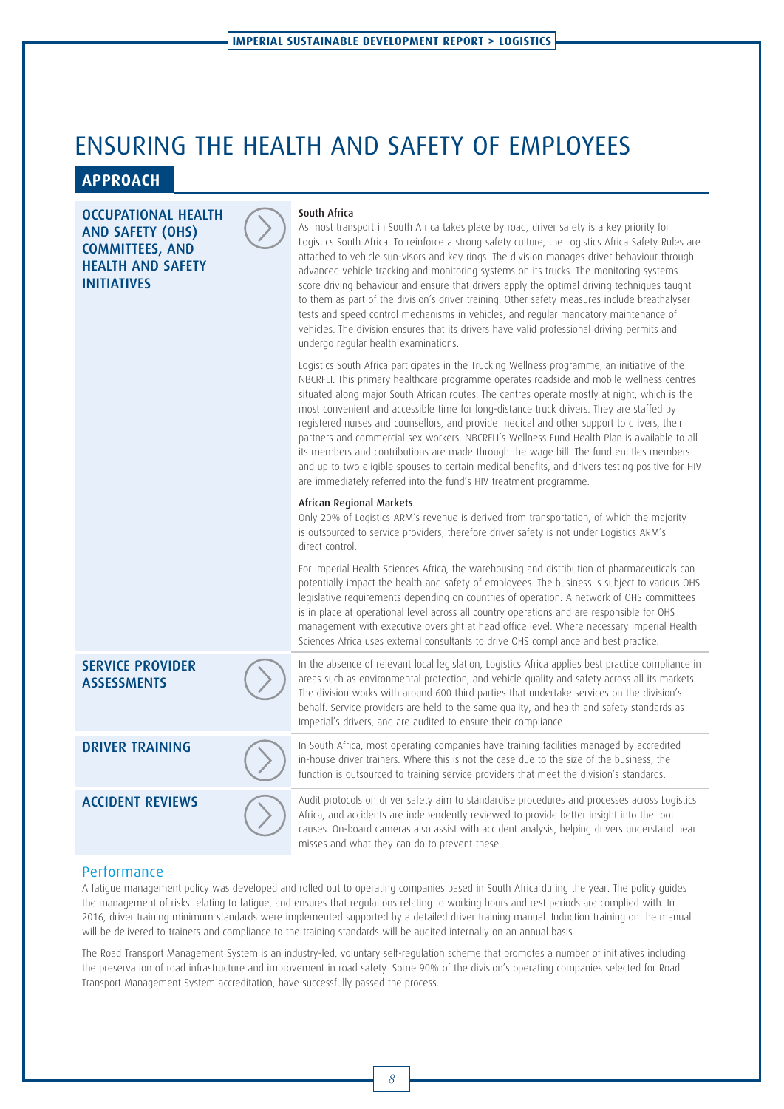# ENSURING THE HEALTH AND SAFETY OF EMPLOYEES

#### **APPROACH**

#### **OCCUPATIONAL HEALTH** AND SAFETY (OHS) COMMITTEES, AND HEALTH AND SAFETY **INITIATIVES**

#### South Africa

As most transport in South Africa takes place by road, driver safety is a key priority for Logistics South Africa. To reinforce a strong safety culture, the Logistics Africa Safety Rules are attached to vehicle sun-visors and key rings. The division manages driver behaviour through advanced vehicle tracking and monitoring systems on its trucks. The monitoring systems score driving behaviour and ensure that drivers apply the optimal driving techniques taught to them as part of the division's driver training. Other safety measures include breathalyser tests and speed control mechanisms in vehicles, and regular mandatory maintenance of vehicles. The division ensures that its drivers have valid professional driving permits and undergo regular health examinations.

Logistics South Africa participates in the Trucking Wellness programme, an initiative of the NBCRFLI. This primary healthcare programme operates roadside and mobile wellness centres situated along major South African routes. The centres operate mostly at night, which is the most convenient and accessible time for long-distance truck drivers. They are staffed by registered nurses and counsellors, and provide medical and other support to drivers, their partners and commercial sex workers. NBCRFLI's Wellness Fund Health Plan is available to all its members and contributions are made through the wage bill. The fund entitles members and up to two eligible spouses to certain medical benefits, and drivers testing positive for HIV are immediately referred into the fund's HIV treatment programme.

Only 20% of Logistics ARM's revenue is derived from transportation, of which the majority is outsourced to service providers, therefore driver safety is not under Logistics ARM's direct control.

For Imperial Health Sciences Africa, the warehousing and distribution of pharmaceuticals can potentially impact the health and safety of employees. The business is subject to various OHS legislative requirements depending on countries of operation. A network of OHS committees is in place at operational level across all country operations and are responsible for OHS management with executive oversight at head office level. Where necessary Imperial Health Sciences Africa uses external consultants to drive OHS compliance and best practice.

In the absence of relevant local legislation, Logistics Africa applies best practice compliance in areas such as environmental protection, and vehicle quality and safety across all its markets. The division works with around 600 third parties that undertake services on the division's behalf. Service providers are held to the same quality, and health and safety standards as Imperial's drivers, and are audited to ensure their compliance.

**DRIVER TRAINING** In South Africa, most operating companies have training facilities managed by accredited in-house driver trainers. Where this is not the case due to the size of the business, the function is outsourced to training service providers that meet the division's standards.

**ACCIDENT REVIEWS** Audit protocols on driver safety aim to standardise procedures and processes across Logistics Africa, and accidents are independently reviewed to provide better insight into the root causes. On-board cameras also assist with accident analysis, helping drivers understand near misses and what they can do to prevent these.

#### Performance

**ASSESSMENTS** 

**SERVICE PROVIDER** 

A fatigue management policy was developed and rolled out to operating companies based in South Africa during the year. The policy guides the management of risks relating to fatigue, and ensures that regulations relating to working hours and rest periods are complied with. In 2016, driver training minimum standards were implemented supported by a detailed driver training manual. Induction training on the manual will be delivered to trainers and compliance to the training standards will be audited internally on an annual basis.

The Road Transport Management System is an industry-led, voluntary self-regulation scheme that promotes a number of initiatives including the preservation of road infrastructure and improvement in road safety. Some 90% of the division's operating companies selected for Road Transport Management System accreditation, have successfully passed the process.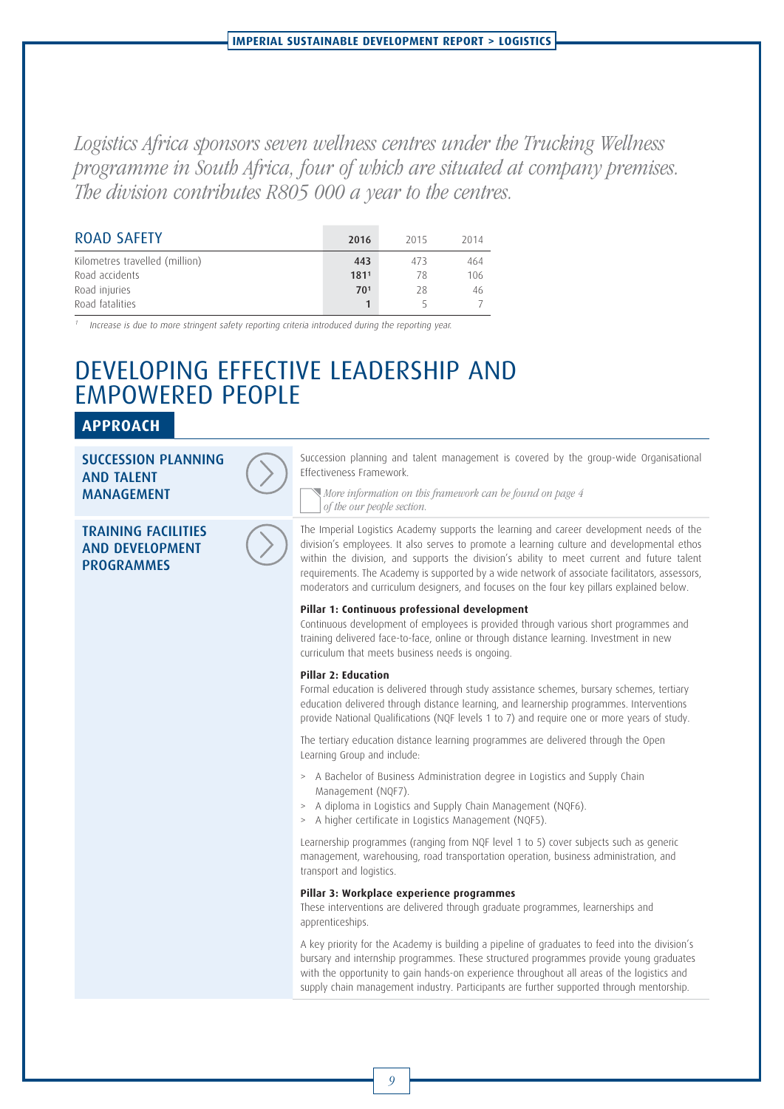Logistics Africa sponsors seven wellness centres under the Trucking Wellness programme in South Africa, four of which are situated at company premises. The division contributes R805 000 a year to the centres.

| <b>ROAD SAFETY</b>             | 2016 | 2015 | 2014 |
|--------------------------------|------|------|------|
| Kilometres travelled (million) | 443  | 473  | 464  |
| Road accidents                 | 1811 | 78   | 106  |
| Road injuries                  | 701  | 28   | 46   |
| Road fatalities                |      |      |      |

<sup>1</sup> Increase is due to more stringent safety reporting criteria introduced during the reporting year.

# DEVELOPING EFFECTIVE LEADERSHIP AND EMPOWERED PEOPLE

#### **APPROACH**

SUCCESSION PLANNING<br>AND TALENT **MANAGEMENT** 

**TRAINING FACILITIES** AND DEVELOPMENT PROGRAMMES



Succession planning and talent management is covered by the group-wide Organisational Effectiveness Framework.

More information on this framework can be found on page 4 of the our people section.

The Imperial Logistics Academy supports the learning and career development needs of the division's employees. It also serves to promote a learning culture and developmental ethos within the division, and supports the division's ability to meet current and future talent requirements. The Academy is supported by a wide network of associate facilitators, assessors, moderators and curriculum designers, and focuses on the four key pillars explained below.

#### **Pillar 1: Continuous professional development**

Continuous development of employees is provided through various short programmes and training delivered face-to-face, online or through distance learning. Investment in new curriculum that meets business needs is ongoing.

#### **Pillar 2: Education**

Formal education is delivered through study assistance schemes, bursary schemes, tertiary education delivered through distance learning, and learnership programmes. Interventions provide National Qualifications (NQF levels 1 to 7) and require one or more years of study.

The tertiary education distance learning programmes are delivered through the Open Learning Group and include:

- > A Bachelor of Business Administration degree in Logistics and Supply Chain Management (NQF7).
- > A diploma in Logistics and Supply Chain Management (NQF6).
- A higher certificate in Logistics Management (NQF5).

Learnership programmes (ranging from NQF level 1 to 5) cover subjects such as generic management, warehousing, road transportation operation, business administration, and transport and logistics.

#### **Pillar 3: Workplace experience programmes**

These interventions are delivered through graduate programmes, learnerships and apprenticeships.

A key priority for the Academy is building a pipeline of graduates to feed into the division's bursary and internship programmes. These structured programmes provide young graduates with the opportunity to gain hands-on experience throughout all areas of the logistics and supply chain management industry. Participants are further supported through mentorship.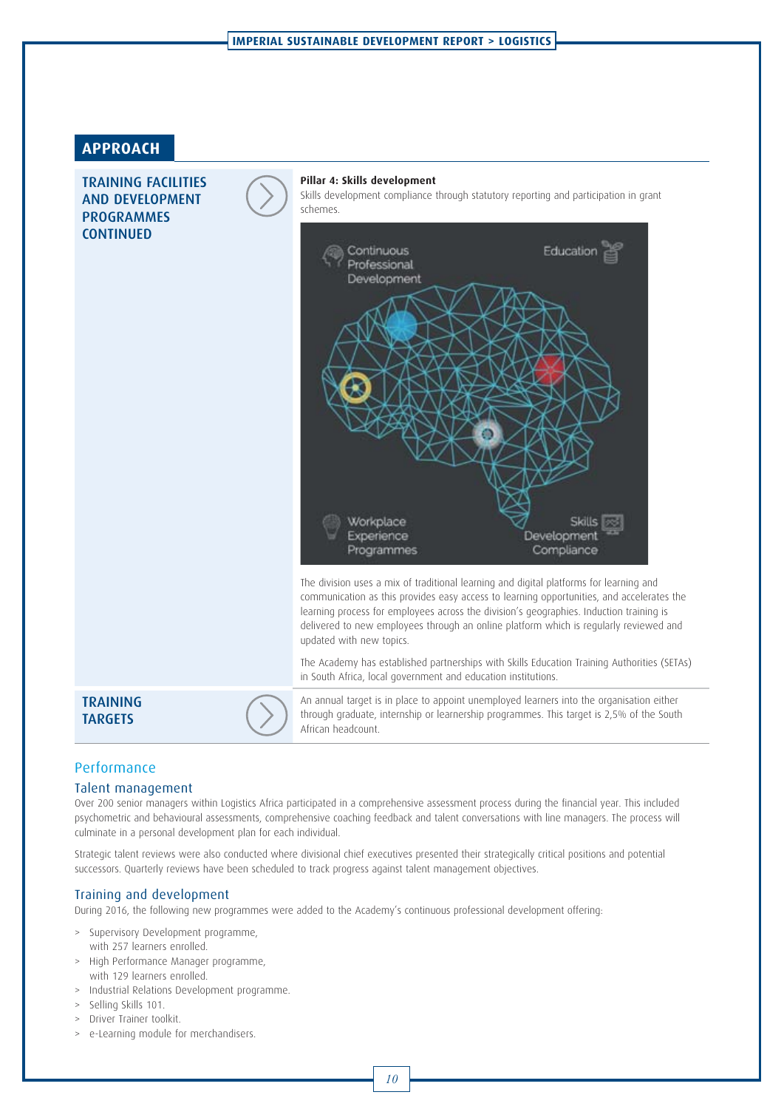#### **APPROACH**

**TRAINING FACILITIES** AND DEVELOPMENT PROGRAMMES **CONTINUED** 

#### **Pillar 4: Skills development**

Skills development compliance through statutory reporting and participation in grant schemes.



The division uses a mix of traditional learning and digital platforms for learning and communication as this provides easy access to learning opportunities, and accelerates the learning process for employees across the division's geographies. Induction training is delivered to new employees through an online platform which is regularly reviewed and updated with new topics.

The Academy has established partnerships with Skills Education Training Authorities (SETAs) in South Africa, local government and education institutions.

# **TRAINING**<br>TARGETS



An annual target is in place to appoint unemployed learners into the organisation either through graduate, internship or learnership programmes. This target is 2,5% of the South African headcount.

#### **Performance**

#### Talent management

Over 200 senior managers within Logistics Africa participated in a comprehensive assessment process during the financial year. This included psychometric and behavioural assessments, comprehensive coaching feedback and talent conversations with line managers. The process will culminate in a personal development plan for each individual.

Strategic talent reviews were also conducted where divisional chief executives presented their strategically critical positions and potential successors. Quarterly reviews have been scheduled to track progress against talent management objectives.

#### Training and development

During 2016, the following new programmes were added to the Academy's continuous professional development offering:

- > Supervisory Development programme,
- with 257 learners enrolled.
- > High Performance Manager programme, with 129 learners enrolled.
- > Industrial Relations Development programme.
- > Selling Skills 101.
- > Driver Trainer toolkit.
- > e-Learning module for merchandisers.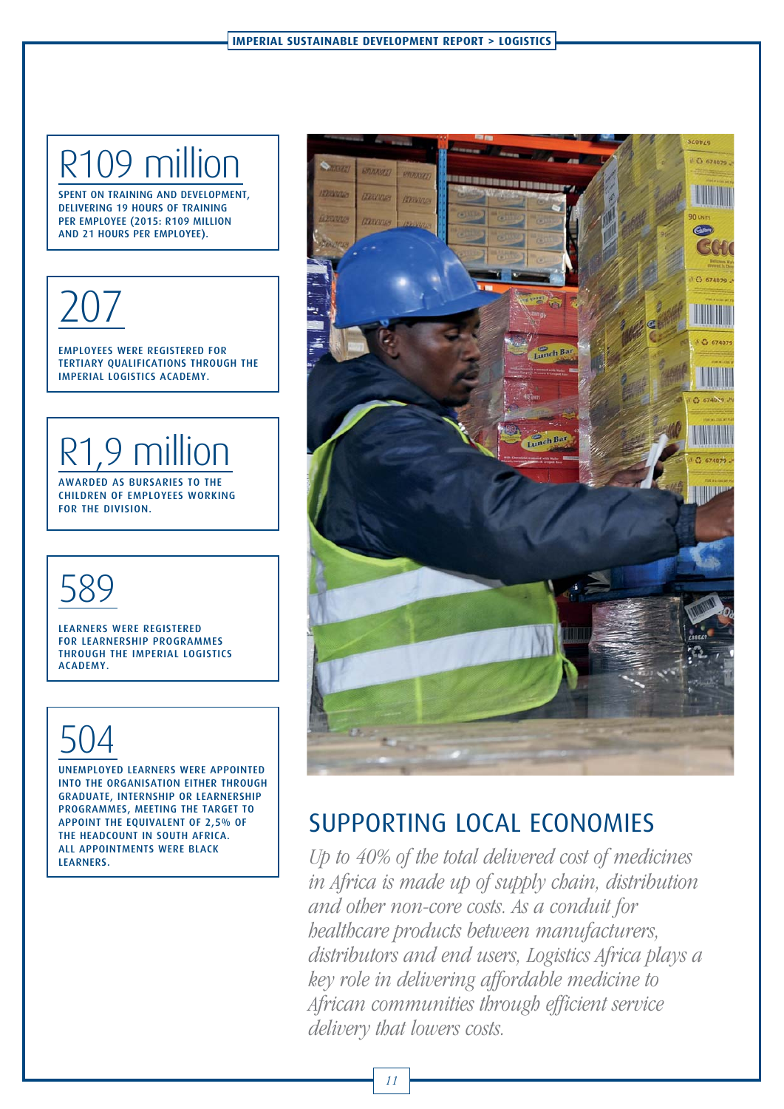# R109 million

DELIVERING 19 HOURS OF TRAINING PER EMPLOYEE (2015: R109 MILLION AND 21 HOURS PER EMPLOYEE). AND 21 HOURS PER EMPLOYEE).



EMPLOYEES WERE REGISTERED FOR<br>TERTIARY OUALIFICATIONS THROUGH THE IMPERIAL LOGISTICS ACADEMY.

# R1,9 million

CHILDREN OF EMPLOYEES WORKING FOR THE DIVISION.

# 589

LEARNERS WERE REGISTERED<br>FOR LEARNERSHIP PROGRAMMES THROUGH THE IMPERIAL LOGISTICS ACADEMY.

# 504

UNEMPLOYED LEARNERS WERE APPOINTED<br>INTO THE ORGANISATION EITHER THROUGH GRADUATE, INTERNSHIP OR LEARNERSHIP PROGRAMMES, MEETING THE TARGET TO APPOINT THE EQUIVALENT OF 2,5% OF THE HEADCOUNT IN SOUTH AFRICA. ALL APPOINTMENTS WERE BLACK LEARNERS. LEARNERS.



# SUPPORTING LOCAL ECONOMIES

Up to 40% of the total delivered cost of medicines in Africa is made up of supply chain, distribution and other non-core costs. As a conduit for healthcare products between manufacturers, distributors and end users, Logistics Africa plays a key role in delivering affordable medicine to African communities through efficient service delivery that lowers costs.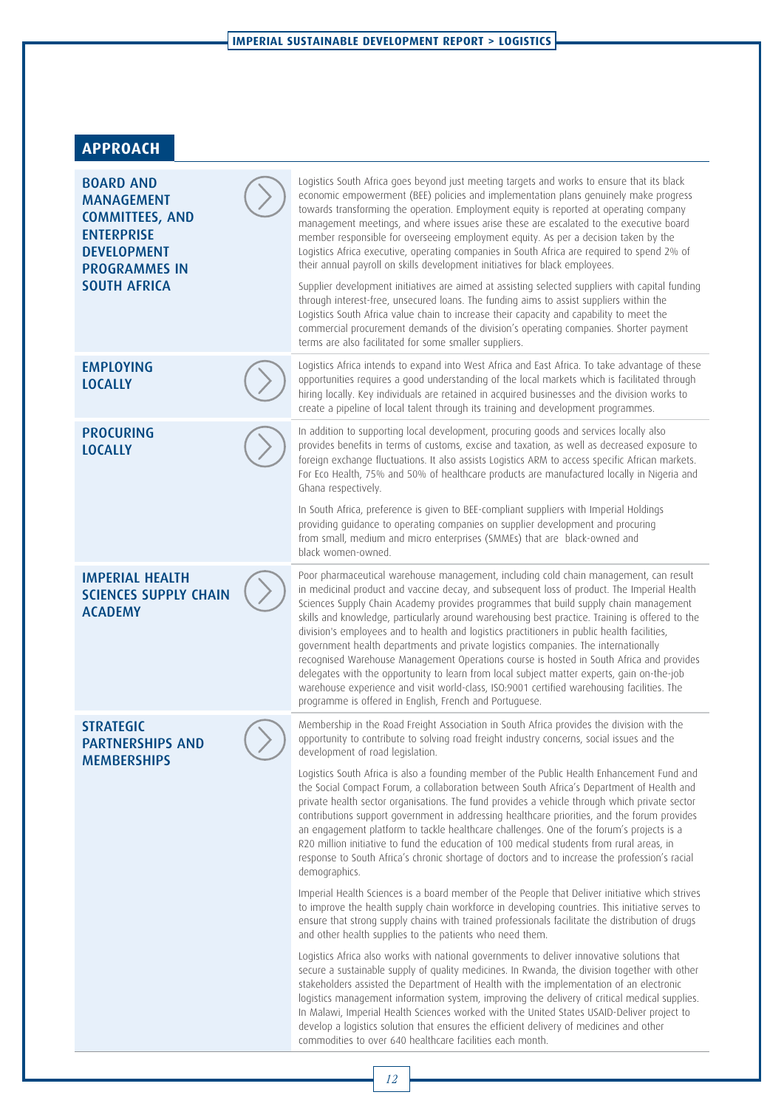### **APPROACH**

| <b>BOARD AND</b><br><b>MANAGEMENT</b><br><b>COMMITTEES, AND</b><br><b>ENTERPRISE</b><br><b>DEVELOPMENT</b><br><b>PROGRAMMES IN</b><br><b>SOUTH AFRICA</b> | Logistics South Africa goes beyond just meeting targets and works to ensure that its black<br>economic empowerment (BEE) policies and implementation plans genuinely make progress<br>towards transforming the operation. Employment equity is reported at operating company<br>management meetings, and where issues arise these are escalated to the executive board<br>member responsible for overseeing employment equity. As per a decision taken by the<br>Logistics Africa executive, operating companies in South Africa are required to spend 2% of<br>their annual payroll on skills development initiatives for black employees.<br>Supplier development initiatives are aimed at assisting selected suppliers with capital funding<br>through interest-free, unsecured loans. The funding aims to assist suppliers within the<br>Logistics South Africa value chain to increase their capacity and capability to meet the<br>commercial procurement demands of the division's operating companies. Shorter payment<br>terms are also facilitated for some smaller suppliers. |
|-----------------------------------------------------------------------------------------------------------------------------------------------------------|------------------------------------------------------------------------------------------------------------------------------------------------------------------------------------------------------------------------------------------------------------------------------------------------------------------------------------------------------------------------------------------------------------------------------------------------------------------------------------------------------------------------------------------------------------------------------------------------------------------------------------------------------------------------------------------------------------------------------------------------------------------------------------------------------------------------------------------------------------------------------------------------------------------------------------------------------------------------------------------------------------------------------------------------------------------------------------------|
| <b>EMPLOYING</b><br><b>LOCALLY</b>                                                                                                                        | Logistics Africa intends to expand into West Africa and East Africa. To take advantage of these<br>opportunities requires a good understanding of the local markets which is facilitated through<br>hiring locally. Key individuals are retained in acquired businesses and the division works to<br>create a pipeline of local talent through its training and development programmes.                                                                                                                                                                                                                                                                                                                                                                                                                                                                                                                                                                                                                                                                                                  |
| <b>PROCURING</b><br><b>LOCALLY</b>                                                                                                                        | In addition to supporting local development, procuring goods and services locally also<br>provides benefits in terms of customs, excise and taxation, as well as decreased exposure to<br>foreign exchange fluctuations. It also assists Logistics ARM to access specific African markets.<br>For Eco Health, 75% and 50% of healthcare products are manufactured locally in Nigeria and<br>Ghana respectively.                                                                                                                                                                                                                                                                                                                                                                                                                                                                                                                                                                                                                                                                          |
|                                                                                                                                                           | In South Africa, preference is given to BEE-compliant suppliers with Imperial Holdings<br>providing guidance to operating companies on supplier development and procuring<br>from small, medium and micro enterprises (SMMEs) that are black-owned and<br>black women-owned.                                                                                                                                                                                                                                                                                                                                                                                                                                                                                                                                                                                                                                                                                                                                                                                                             |
| <b>IMPERIAL HEALTH</b><br><b>SCIENCES SUPPLY CHAIN</b><br><b>ACADEMY</b>                                                                                  | Poor pharmaceutical warehouse management, including cold chain management, can result<br>in medicinal product and vaccine decay, and subsequent loss of product. The Imperial Health<br>Sciences Supply Chain Academy provides programmes that build supply chain management<br>skills and knowledge, particularly around warehousing best practice. Training is offered to the<br>division's employees and to health and logistics practitioners in public health facilities,<br>government health departments and private logistics companies. The internationally<br>recognised Warehouse Management Operations course is hosted in South Africa and provides<br>delegates with the opportunity to learn from local subject matter experts, gain on-the-job<br>warehouse experience and visit world-class, ISO:9001 certified warehousing facilities. The<br>programme is offered in English, French and Portuguese.                                                                                                                                                                  |
| <b>STRATEGIC</b><br><b>PARTNERSHIPS AND</b><br><b>MEMBERSHIPS</b>                                                                                         | Membership in the Road Freight Association in South Africa provides the division with the<br>opportunity to contribute to solving road freight industry concerns, social issues and the<br>development of road legislation.                                                                                                                                                                                                                                                                                                                                                                                                                                                                                                                                                                                                                                                                                                                                                                                                                                                              |
|                                                                                                                                                           | Logistics South Africa is also a founding member of the Public Health Enhancement Fund and<br>the Social Compact Forum, a collaboration between South Africa's Department of Health and<br>private health sector organisations. The fund provides a vehicle through which private sector<br>contributions support government in addressing healthcare priorities, and the forum provides<br>an engagement platform to tackle healthcare challenges. One of the forum's projects is a<br>R20 million initiative to fund the education of 100 medical students from rural areas, in<br>response to South Africa's chronic shortage of doctors and to increase the profession's racial<br>demographics.                                                                                                                                                                                                                                                                                                                                                                                     |
|                                                                                                                                                           | Imperial Health Sciences is a board member of the People that Deliver initiative which strives<br>to improve the health supply chain workforce in developing countries. This initiative serves to<br>ensure that strong supply chains with trained professionals facilitate the distribution of drugs<br>and other health supplies to the patients who need them.                                                                                                                                                                                                                                                                                                                                                                                                                                                                                                                                                                                                                                                                                                                        |
|                                                                                                                                                           | Logistics Africa also works with national governments to deliver innovative solutions that<br>secure a sustainable supply of quality medicines. In Rwanda, the division together with other<br>stakeholders assisted the Department of Health with the implementation of an electronic<br>logistics management information system, improving the delivery of critical medical supplies.<br>In Malawi, Imperial Health Sciences worked with the United States USAID-Deliver project to<br>develop a logistics solution that ensures the efficient delivery of medicines and other<br>commodities to over 640 healthcare facilities each month.                                                                                                                                                                                                                                                                                                                                                                                                                                            |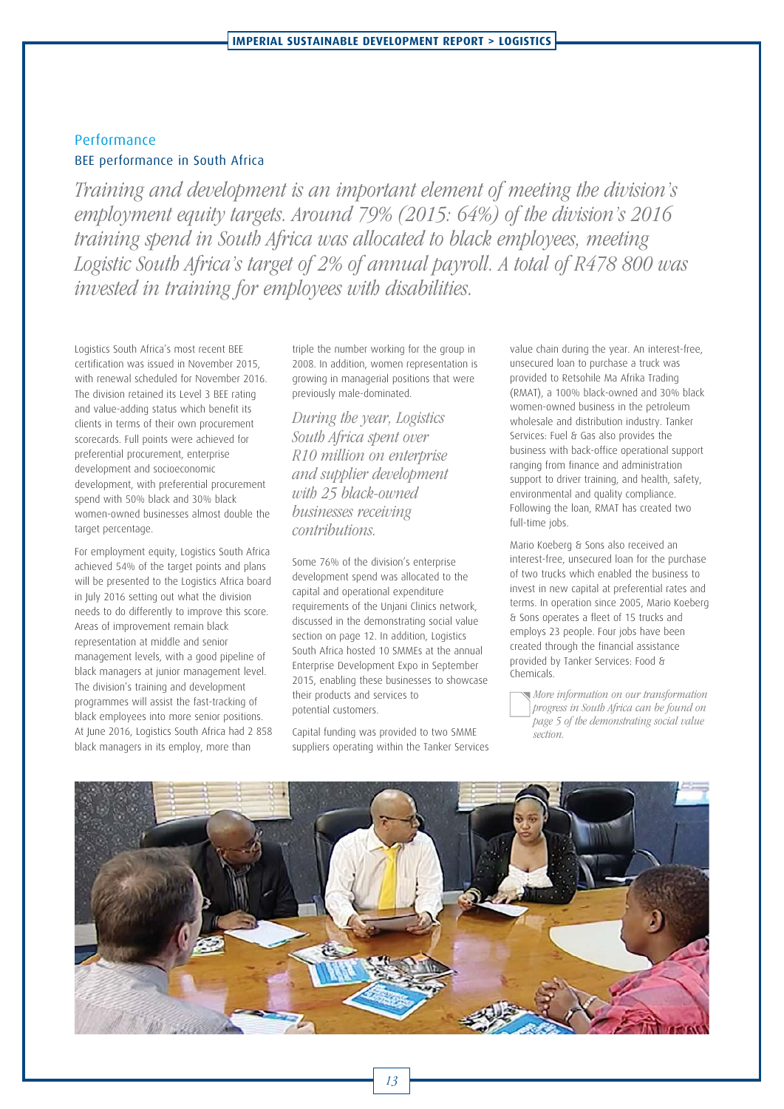#### Performance BEE performance in South Africa

Training and development is an important element of meeting the division's employment equity targets. Around 79% (2015: 64%) of the division's 2016 training spend in South Africa was allocated to black employees, meeting Logistic South Africa's target of 2% of annual payroll. A total of R478 800 was invested in training for employees with disabilities.

Logistics South Africa's most recent BEE certification was issued in November 2015, with renewal scheduled for November 2016. The division retained its Level 3 BEE rating and value-adding status which benefit its clients in terms of their own procurement scorecards. Full points were achieved for preferential procurement, enterprise development and socioeconomic development, with preferential procurement spend with 50% black and 30% black women-owned businesses almost double the target percentage.

For employment equity, Logistics South Africa achieved 54% of the target points and plans will be presented to the Logistics Africa board in July 2016 setting out what the division needs to do differently to improve this score. Areas of improvement remain black representation at middle and senior management levels, with a good pipeline of black managers at junior management level. The division's training and development programmes will assist the fast-tracking of black employees into more senior positions. At June 2016, Logistics South Africa had 2 858 black managers in its employ, more than

triple the number working for the group in 2008. In addition, women representation is growing in managerial positions that were previously male-dominated.

During the year, Logistics South Africa spent over R10 million on enterprise and supplier development with 25 black-owned businesses receiving contributions.

Some 76% of the division's enterprise development spend was allocated to the capital and operational expenditure requirements of the Unjani Clinics network, discussed in the demonstrating social value section on page 12. In addition, Logistics South Africa hosted 10 SMMEs at the annual Enterprise Development Expo in September 2015, enabling these businesses to showcase their products and services to potential customers.

Capital funding was provided to two SMME suppliers operating within the Tanker Services value chain during the year. An interest-free, unsecured loan to purchase a truck was provided to Retsohile Ma Afrika Trading (RMAT), a 100% black-owned and 30% black women-owned business in the petroleum wholesale and distribution industry. Tanker Services: Fuel & Gas also provides the business with back-office operational support ranging from finance and administration support to driver training, and health, safety, environmental and quality compliance. Following the loan, RMAT has created two full-time jobs.

Mario Koeberg & Sons also received an interest-free, unsecured loan for the purchase of two trucks which enabled the business to invest in new capital at preferential rates and terms. In operation since 2005, Mario Koeberg & Sons operates a fleet of 15 trucks and employs 23 people. Four jobs have been created through the financial assistance provided by Tanker Services: Food & Chemicals.

More information on our transformation progress in South Africa can be found on page 5 of the demonstrating social value section.

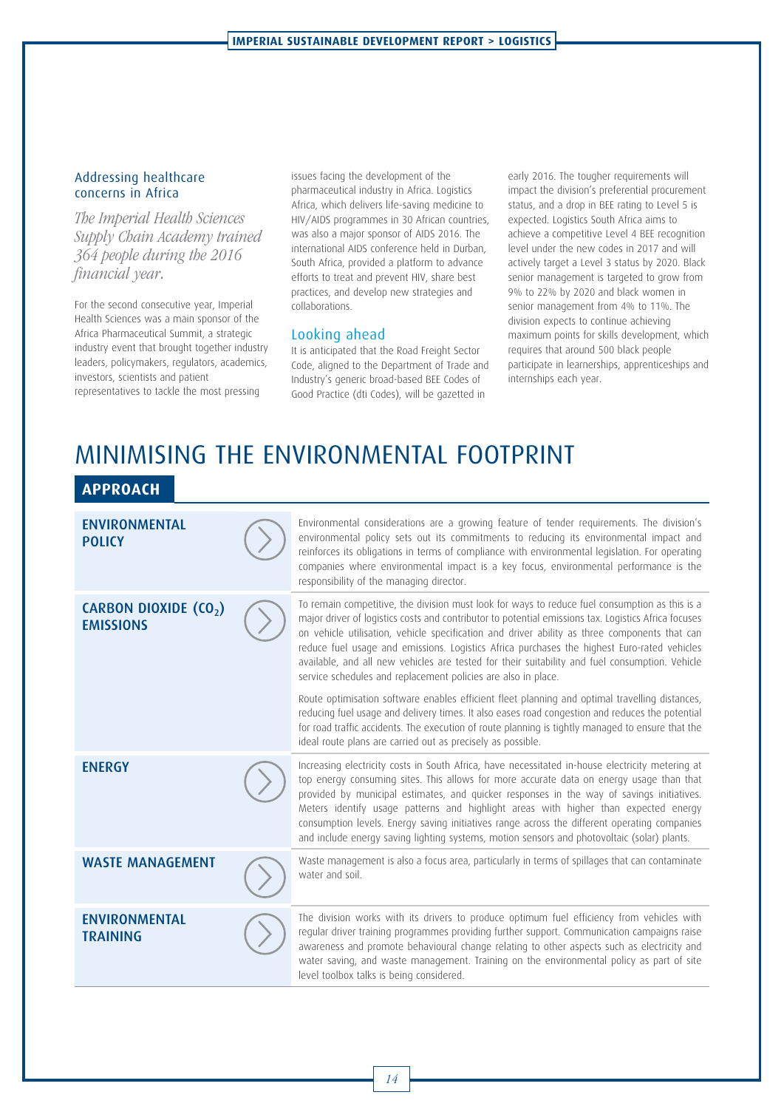#### Addressing healthcare concerns in Africa

The Imperial Health Sciences Supply Chain Academy trained 364 people during the 2016 financial year.

For the second consecutive year, Imperial Health Sciences was a main sponsor of the Africa Pharmaceutical Summit, a strategic industry event that brought together industry leaders, policymakers, regulators, academics, investors, scientists and patient representatives to tackle the most pressing

issues facing the development of the pharmaceutical industry in Africa. Logistics Africa, which delivers life-saving medicine to HIV/AIDS programmes in 30 African countries, was also a major sponsor of AIDS 2016. The international AIDS conference held in Durban, South Africa, provided a platform to advance efforts to treat and prevent HIV, share best practices, and develop new strategies and collaborations.

#### Looking ahead

It is anticipated that the Road Freight Sector Code, aligned to the Department of Trade and Industry's generic broad-based BEE Codes of Good Practice (dti Codes), will be gazetted in

early 2016. The tougher requirements will impact the division's preferential procurement status, and a drop in BEE rating to Level 5 is expected. Logistics South Africa aims to achieve a competitive Level 4 BEE recognition level under the new codes in 2017 and will actively target a Level 3 status by 2020. Black senior management is targeted to grow from 9% to 22% by 2020 and black women in senior management from 4% to 11%. The division expects to continue achieving maximum points for skills development, which requires that around 500 black people participate in learnerships, apprenticeships and internships each year.

# MINIMISING THE ENVIRONMENTAL FOOTPRINT

#### **APPROACH**

| <b>ENVIRONMENTAL</b><br><b>POLICY</b>                 | Environmental considerations are a growing feature of tender requirements. The division's<br>environmental policy sets out its commitments to reducing its environmental impact and<br>reinforces its obligations in terms of compliance with environmental legislation. For operating<br>companies where environmental impact is a key focus, environmental performance is the<br>responsibility of the managing director.                                                                                                                                                     |
|-------------------------------------------------------|---------------------------------------------------------------------------------------------------------------------------------------------------------------------------------------------------------------------------------------------------------------------------------------------------------------------------------------------------------------------------------------------------------------------------------------------------------------------------------------------------------------------------------------------------------------------------------|
| CARBON DIOXIDE (CO <sub>2</sub> )<br><b>EMISSIONS</b> | To remain competitive, the division must look for ways to reduce fuel consumption as this is a<br>major driver of logistics costs and contributor to potential emissions tax. Logistics Africa focuses<br>on vehicle utilisation, vehicle specification and driver ability as three components that can<br>reduce fuel usage and emissions. Logistics Africa purchases the highest Euro-rated vehicles<br>available, and all new vehicles are tested for their suitability and fuel consumption. Vehicle<br>service schedules and replacement policies are also in place.       |
|                                                       | Route optimisation software enables efficient fleet planning and optimal travelling distances,<br>reducing fuel usage and delivery times. It also eases road congestion and reduces the potential<br>for road traffic accidents. The execution of route planning is tightly managed to ensure that the<br>ideal route plans are carried out as precisely as possible.                                                                                                                                                                                                           |
| <b>ENERGY</b>                                         | Increasing electricity costs in South Africa, have necessitated in-house electricity metering at<br>top energy consuming sites. This allows for more accurate data on energy usage than that<br>provided by municipal estimates, and quicker responses in the way of savings initiatives.<br>Meters identify usage patterns and highlight areas with higher than expected energy<br>consumption levels. Energy saving initiatives range across the different operating companies<br>and include energy saving lighting systems, motion sensors and photovoltaic (solar) plants. |
| <b>WASTE MANAGEMENT</b>                               | Waste management is also a focus area, particularly in terms of spillages that can contaminate<br>water and soil.                                                                                                                                                                                                                                                                                                                                                                                                                                                               |
| <b>ENVIRONMENTAL</b><br><b>TRAINING</b>               | The division works with its drivers to produce optimum fuel efficiency from vehicles with<br>regular driver training programmes providing further support. Communication campaigns raise<br>awareness and promote behavioural change relating to other aspects such as electricity and<br>water saving, and waste management. Training on the environmental policy as part of site<br>level toolbox talks is being considered.                                                                                                                                                  |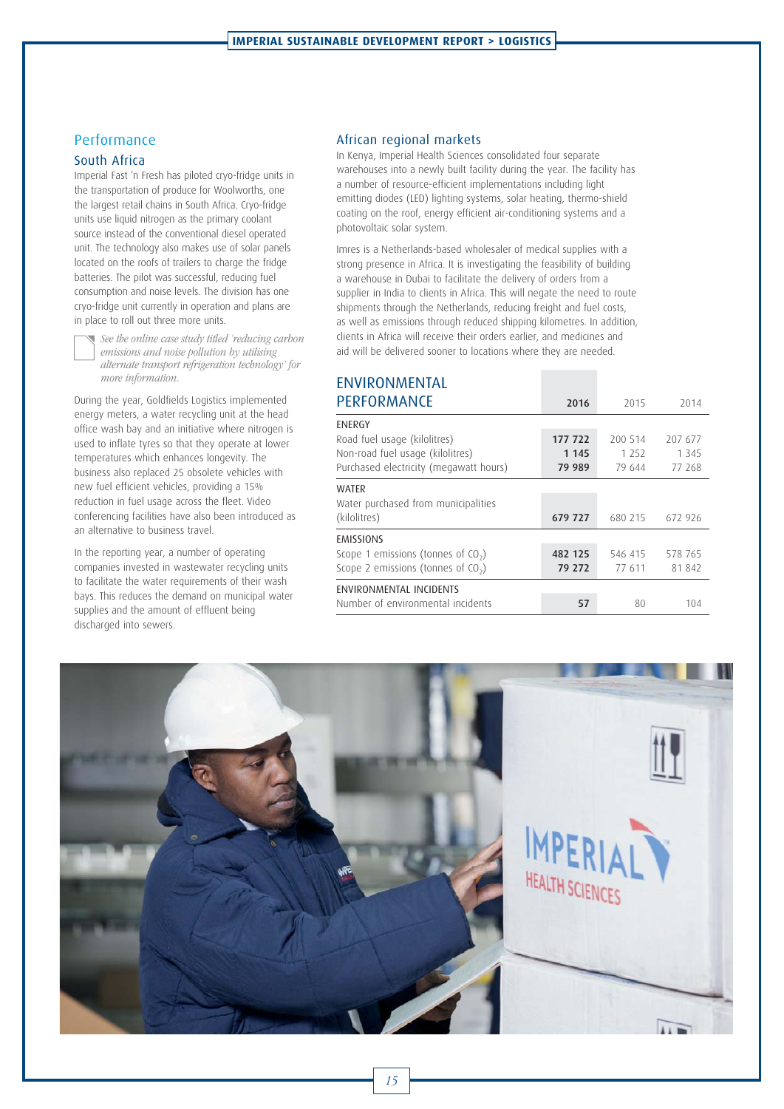#### Performance

#### South Africa

Imperial Fast 'n Fresh has piloted cryo-fridge units in the transportation of produce for Woolworths, one the largest retail chains in South Africa. Cryo-fridge units use liquid nitrogen as the primary coolant source instead of the conventional diesel operated unit. The technology also makes use of solar panels located on the roofs of trailers to charge the fridge batteries. The pilot was successful, reducing fuel consumption and noise levels. The division has one cryo-fridge unit currently in operation and plans are in place to roll out three more units.



 See the online case study titled 'reducing carbon emissions and noise pollution by utilising alternate transport refrigeration technology' for more information.

During the year, Goldfields Logistics implemented energy meters, a water recycling unit at the head office wash bay and an initiative where nitrogen is used to inflate tyres so that they operate at lower temperatures which enhances longevity. The business also replaced 25 obsolete vehicles with new fuel efficient vehicles, providing a 15% reduction in fuel usage across the fleet. Video conferencing facilities have also been introduced as an alternative to business travel.

In the reporting year, a number of operating companies invested in wastewater recycling units to facilitate the water requirements of their wash bays. This reduces the demand on municipal water supplies and the amount of effluent being discharged into sewers.

#### African regional markets

In Kenya, Imperial Health Sciences consolidated four separate warehouses into a newly built facility during the year. The facility has a number of resource-efficient implementations including light emitting diodes (LED) lighting systems, solar heating, thermo-shield coating on the roof, energy efficient air-conditioning systems and a photovoltaic solar system.

Imres is a Netherlands-based wholesaler of medical supplies with a strong presence in Africa. It is investigating the feasibility of building a warehouse in Dubai to facilitate the delivery of orders from a supplier in India to clients in Africa. This will negate the need to route shipments through the Netherlands, reducing freight and fuel costs, as well as emissions through reduced shipping kilometres. In addition, clients in Africa will receive their orders earlier, and medicines and aid will be delivered sooner to locations where they are needed.

### ENVIRONMENTAL

| PERFORMANCE                            | 2016    | 2015    | 2014    |
|----------------------------------------|---------|---------|---------|
| ENERGY                                 |         |         |         |
| Road fuel usage (kilolitres)           | 177 722 | 200 514 | 207 677 |
| Non-road fuel usage (kilolitres)       | 1 1 4 5 | 1 2 5 2 | 1 3 4 5 |
| Purchased electricity (megawatt hours) | 79 989  | 79 644  | 77 268  |
| <b>WATFR</b>                           |         |         |         |
| Water purchased from municipalities    |         |         |         |
| (kilolitres)                           | 679 727 | 680 215 | 672 926 |
| <b>EMISSIONS</b>                       |         |         |         |
| Scope 1 emissions (tonnes of $CO2$ )   | 482 125 | 546 415 | 578 765 |
| Scope 2 emissions (tonnes of $CO2$ )   | 79 272  | 77 611  | 81842   |
| ENVIRONMENTAL INCIDENTS                |         |         |         |
| Number of environmental incidents      | 57      | 80      | 104     |